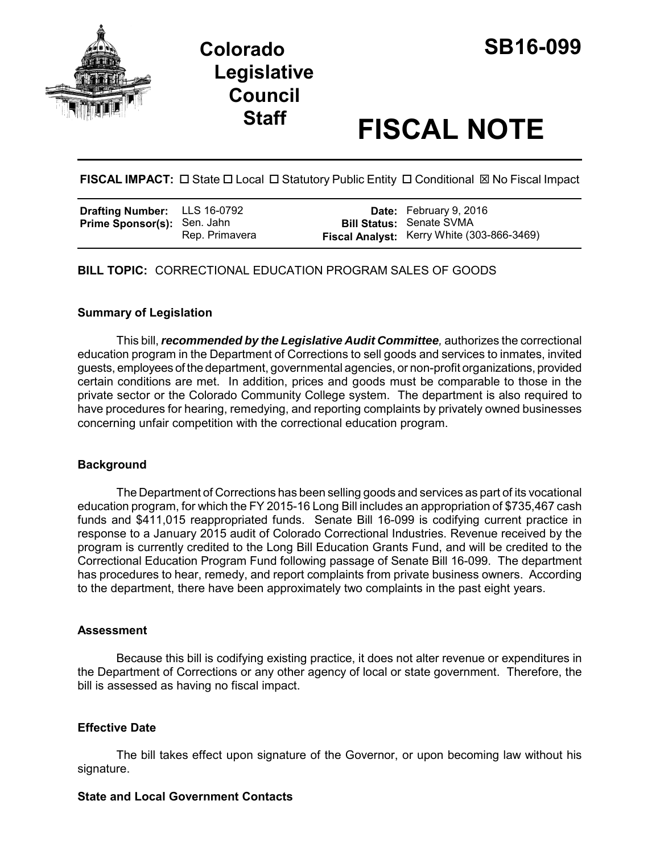

# **Staff FISCAL NOTE**

**FISCAL IMPACT:** □ State □ Local □ Statutory Public Entity □ Conditional ⊠ No Fiscal Impact

| <b>Drafting Number:</b> LLS 16-0792 |                | <b>Date:</b> February 9, 2016                                                 |
|-------------------------------------|----------------|-------------------------------------------------------------------------------|
| <b>Prime Sponsor(s):</b> Sen. Jahn  | Rep. Primavera | <b>Bill Status: Senate SVMA</b><br>Fiscal Analyst: Kerry White (303-866-3469) |

**BILL TOPIC:** CORRECTIONAL EDUCATION PROGRAM SALES OF GOODS

## **Summary of Legislation**

This bill, *recommended by the Legislative Audit Committee,* authorizes the correctional education program in the Department of Corrections to sell goods and services to inmates, invited guests, employees of the department, governmental agencies, or non-profit organizations, provided certain conditions are met. In addition, prices and goods must be comparable to those in the private sector or the Colorado Community College system. The department is also required to have procedures for hearing, remedying, and reporting complaints by privately owned businesses concerning unfair competition with the correctional education program.

## **Background**

The Department of Corrections has been selling goods and services as part of its vocational education program, for which the FY 2015-16 Long Bill includes an appropriation of \$735,467 cash funds and \$411,015 reappropriated funds. Senate Bill 16-099 is codifying current practice in response to a January 2015 audit of Colorado Correctional Industries. Revenue received by the program is currently credited to the Long Bill Education Grants Fund, and will be credited to the Correctional Education Program Fund following passage of Senate Bill 16-099. The department has procedures to hear, remedy, and report complaints from private business owners. According to the department, there have been approximately two complaints in the past eight years.

## **Assessment**

Because this bill is codifying existing practice, it does not alter revenue or expenditures in the Department of Corrections or any other agency of local or state government. Therefore, the bill is assessed as having no fiscal impact.

## **Effective Date**

The bill takes effect upon signature of the Governor, or upon becoming law without his signature.

## **State and Local Government Contacts**